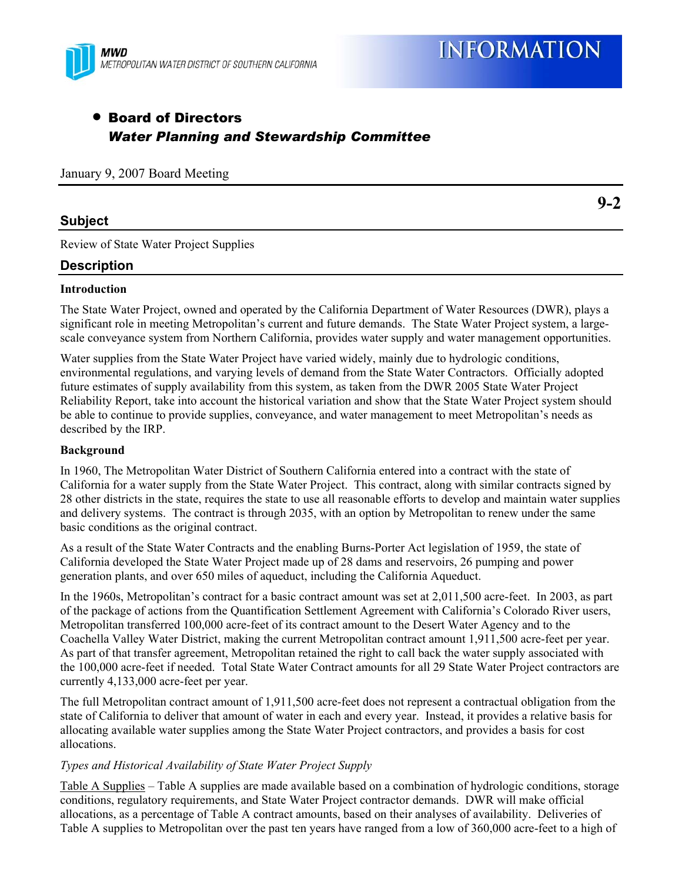

**9-2** 

# • Board of Directors *Water Planning and Stewardship Committee*

January 9, 2007 Board Meeting

## **Subject**

Review of State Water Project Supplies

## **Description**

#### **Introduction**

The State Water Project, owned and operated by the California Department of Water Resources (DWR), plays a significant role in meeting Metropolitan's current and future demands. The State Water Project system, a largescale conveyance system from Northern California, provides water supply and water management opportunities.

Water supplies from the State Water Project have varied widely, mainly due to hydrologic conditions, environmental regulations, and varying levels of demand from the State Water Contractors. Officially adopted future estimates of supply availability from this system, as taken from the DWR 2005 State Water Project Reliability Report, take into account the historical variation and show that the State Water Project system should be able to continue to provide supplies, conveyance, and water management to meet Metropolitan's needs as described by the IRP.

#### **Background**

In 1960, The Metropolitan Water District of Southern California entered into a contract with the state of California for a water supply from the State Water Project. This contract, along with similar contracts signed by 28 other districts in the state, requires the state to use all reasonable efforts to develop and maintain water supplies and delivery systems. The contract is through 2035, with an option by Metropolitan to renew under the same basic conditions as the original contract.

As a result of the State Water Contracts and the enabling Burns-Porter Act legislation of 1959, the state of California developed the State Water Project made up of 28 dams and reservoirs, 26 pumping and power generation plants, and over 650 miles of aqueduct, including the California Aqueduct.

In the 1960s, Metropolitan's contract for a basic contract amount was set at 2,011,500 acre-feet. In 2003, as part of the package of actions from the Quantification Settlement Agreement with California's Colorado River users, Metropolitan transferred 100,000 acre-feet of its contract amount to the Desert Water Agency and to the Coachella Valley Water District, making the current Metropolitan contract amount 1,911,500 acre-feet per year. As part of that transfer agreement, Metropolitan retained the right to call back the water supply associated with the 100,000 acre-feet if needed. Total State Water Contract amounts for all 29 State Water Project contractors are currently 4,133,000 acre-feet per year.

The full Metropolitan contract amount of 1,911,500 acre-feet does not represent a contractual obligation from the state of California to deliver that amount of water in each and every year. Instead, it provides a relative basis for allocating available water supplies among the State Water Project contractors, and provides a basis for cost allocations.

#### *Types and Historical Availability of State Water Project Supply*

Table A Supplies – Table A supplies are made available based on a combination of hydrologic conditions, storage conditions, regulatory requirements, and State Water Project contractor demands. DWR will make official allocations, as a percentage of Table A contract amounts, based on their analyses of availability. Deliveries of Table A supplies to Metropolitan over the past ten years have ranged from a low of 360,000 acre-feet to a high of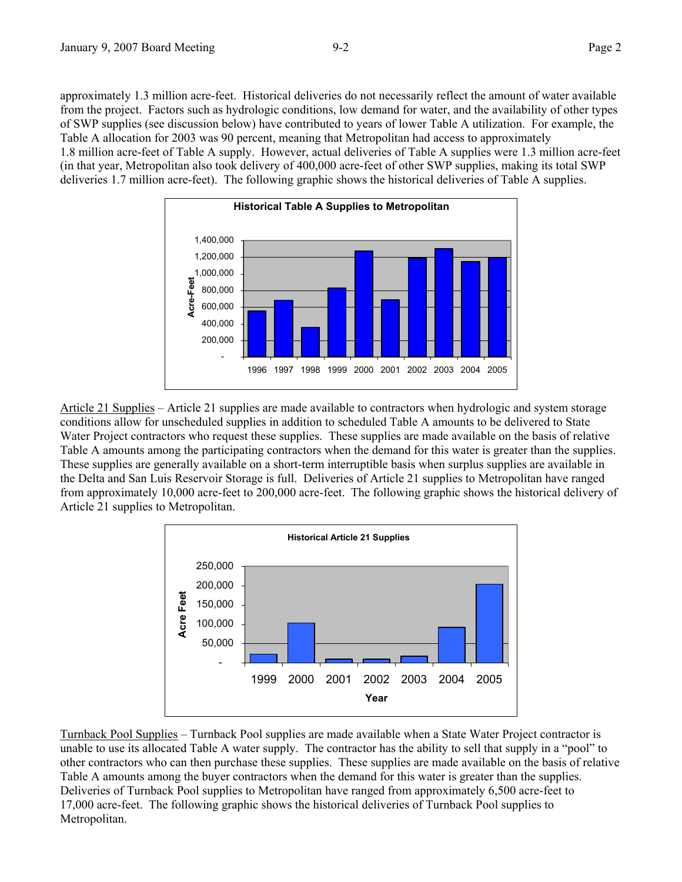approximately 1.3 million acre-feet. Historical deliveries do not necessarily reflect the amount of water available from the project. Factors such as hydrologic conditions, low demand for water, and the availability of other types of SWP supplies (see discussion below) have contributed to years of lower Table A utilization. For example, the Table A allocation for 2003 was 90 percent, meaning that Metropolitan had access to approximately 1.8 million acre-feet of Table A supply. However, actual deliveries of Table A supplies were 1.3 million acre-feet (in that year, Metropolitan also took delivery of 400,000 acre-feet of other SWP supplies, making its total SWP deliveries 1.7 million acre-feet). The following graphic shows the historical deliveries of Table A supplies.



Article 21 Supplies – Article 21 supplies are made available to contractors when hydrologic and system storage conditions allow for unscheduled supplies in addition to scheduled Table A amounts to be delivered to State Water Project contractors who request these supplies. These supplies are made available on the basis of relative Table A amounts among the participating contractors when the demand for this water is greater than the supplies. These supplies are generally available on a short-term interruptible basis when surplus supplies are available in the Delta and San Luis Reservoir Storage is full. Deliveries of Article 21 supplies to Metropolitan have ranged from approximately 10,000 acre-feet to 200,000 acre-feet. The following graphic shows the historical delivery of Article 21 supplies to Metropolitan.



Turnback Pool Supplies – Turnback Pool supplies are made available when a State Water Project contractor is unable to use its allocated Table A water supply. The contractor has the ability to sell that supply in a "pool" to other contractors who can then purchase these supplies. These supplies are made available on the basis of relative Table A amounts among the buyer contractors when the demand for this water is greater than the supplies. Deliveries of Turnback Pool supplies to Metropolitan have ranged from approximately 6,500 acre-feet to 17,000 acre-feet. The following graphic shows the historical deliveries of Turnback Pool supplies to Metropolitan.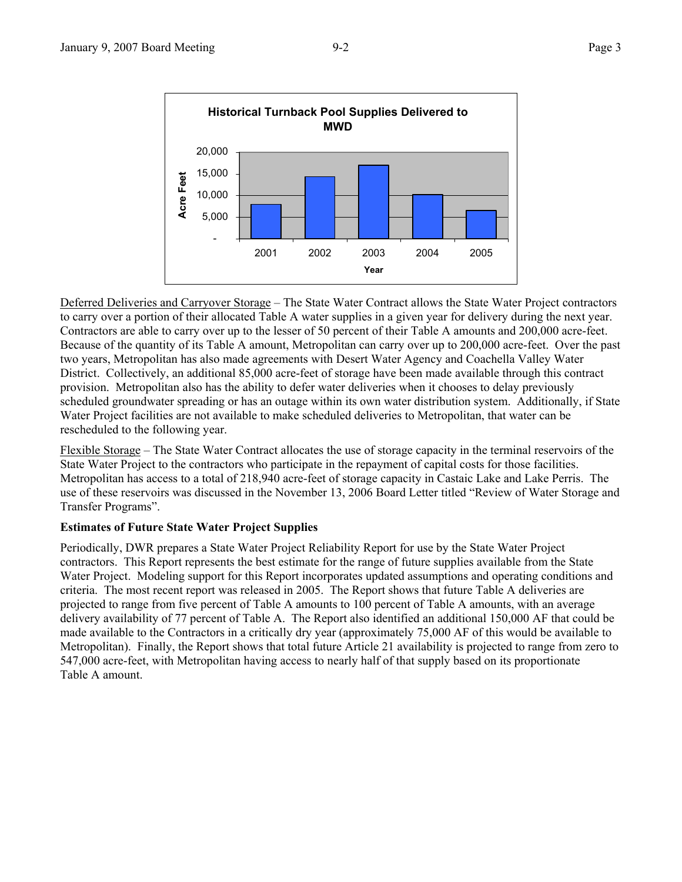

Deferred Deliveries and Carryover Storage – The State Water Contract allows the State Water Project contractors to carry over a portion of their allocated Table A water supplies in a given year for delivery during the next year. Contractors are able to carry over up to the lesser of 50 percent of their Table A amounts and 200,000 acre-feet. Because of the quantity of its Table A amount, Metropolitan can carry over up to 200,000 acre-feet. Over the past two years, Metropolitan has also made agreements with Desert Water Agency and Coachella Valley Water District. Collectively, an additional 85,000 acre-feet of storage have been made available through this contract provision. Metropolitan also has the ability to defer water deliveries when it chooses to delay previously scheduled groundwater spreading or has an outage within its own water distribution system. Additionally, if State Water Project facilities are not available to make scheduled deliveries to Metropolitan, that water can be rescheduled to the following year.

Flexible Storage – The State Water Contract allocates the use of storage capacity in the terminal reservoirs of the State Water Project to the contractors who participate in the repayment of capital costs for those facilities. Metropolitan has access to a total of 218,940 acre-feet of storage capacity in Castaic Lake and Lake Perris. The use of these reservoirs was discussed in the November 13, 2006 Board Letter titled "Review of Water Storage and Transfer Programs".

## **Estimates of Future State Water Project Supplies**

Periodically, DWR prepares a State Water Project Reliability Report for use by the State Water Project contractors. This Report represents the best estimate for the range of future supplies available from the State Water Project. Modeling support for this Report incorporates updated assumptions and operating conditions and criteria. The most recent report was released in 2005. The Report shows that future Table A deliveries are projected to range from five percent of Table A amounts to 100 percent of Table A amounts, with an average delivery availability of 77 percent of Table A. The Report also identified an additional 150,000 AF that could be made available to the Contractors in a critically dry year (approximately 75,000 AF of this would be available to Metropolitan). Finally, the Report shows that total future Article 21 availability is projected to range from zero to 547,000 acre-feet, with Metropolitan having access to nearly half of that supply based on its proportionate Table A amount.